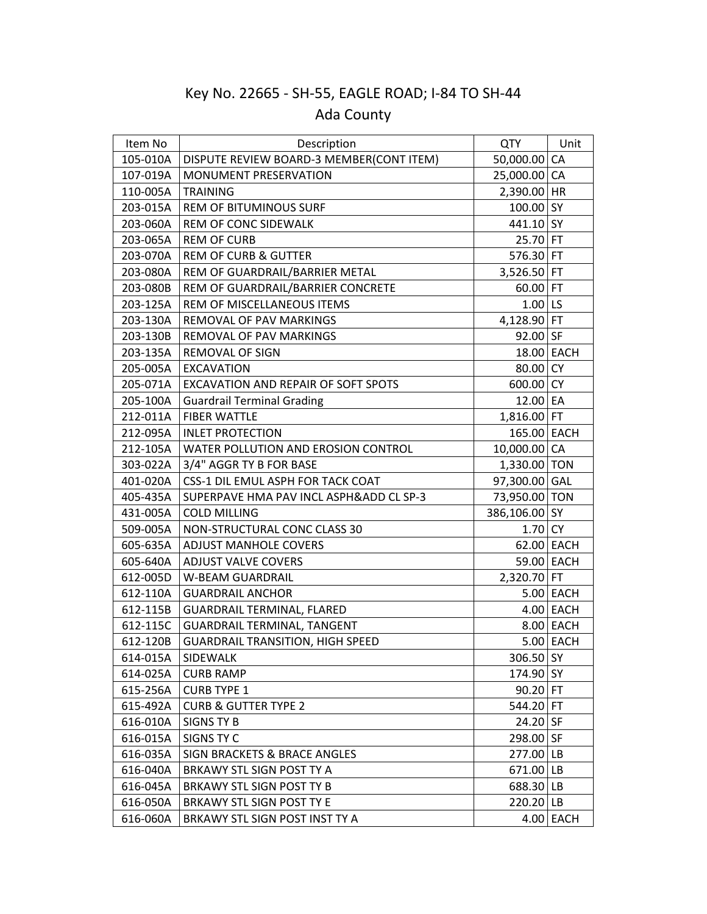## Key No. 22665 - SH-55, EAGLE ROAD; I-84 TO SH-44 Ada County

| Item No  | Description                              | <b>QTY</b>    | Unit        |
|----------|------------------------------------------|---------------|-------------|
| 105-010A | DISPUTE REVIEW BOARD-3 MEMBER(CONT ITEM) | 50,000.00 CA  |             |
| 107-019A | <b>MONUMENT PRESERVATION</b>             | 25,000.00 CA  |             |
| 110-005A | <b>TRAINING</b>                          | 2,390.00 HR   |             |
| 203-015A | <b>REM OF BITUMINOUS SURF</b>            | 100.00 SY     |             |
| 203-060A | REM OF CONC SIDEWALK                     | 441.10 SY     |             |
| 203-065A | <b>REM OF CURB</b>                       | $25.70$ FT    |             |
| 203-070A | <b>REM OF CURB &amp; GUTTER</b>          | 576.30 FT     |             |
| 203-080A | REM OF GUARDRAIL/BARRIER METAL           | 3,526.50 FT   |             |
| 203-080B | REM OF GUARDRAIL/BARRIER CONCRETE        | 60.00 FT      |             |
| 203-125A | REM OF MISCELLANEOUS ITEMS               | $1.00$ LS     |             |
| 203-130A | REMOVAL OF PAV MARKINGS                  | 4,128.90 FT   |             |
| 203-130B | REMOVAL OF PAV MARKINGS                  | 92.00 SF      |             |
| 203-135A | REMOVAL OF SIGN                          | 18.00 EACH    |             |
| 205-005A | <b>EXCAVATION</b>                        | 80.00 CY      |             |
| 205-071A | EXCAVATION AND REPAIR OF SOFT SPOTS      | 600.00 CY     |             |
| 205-100A | <b>Guardrail Terminal Grading</b>        | 12.00 EA      |             |
| 212-011A | <b>FIBER WATTLE</b>                      | 1,816.00 FT   |             |
| 212-095A | <b>INLET PROTECTION</b>                  | 165.00 EACH   |             |
| 212-105A | WATER POLLUTION AND EROSION CONTROL      | 10,000.00 CA  |             |
| 303-022A | 3/4" AGGR TY B FOR BASE                  | 1,330.00 TON  |             |
| 401-020A | CSS-1 DIL EMUL ASPH FOR TACK COAT        | 97,300.00 GAL |             |
| 405-435A | SUPERPAVE HMA PAV INCL ASPH&ADD CL SP-3  | 73,950.00 TON |             |
| 431-005A | <b>COLD MILLING</b>                      | 386,106.00 SY |             |
| 509-005A | NON-STRUCTURAL CONC CLASS 30             | 1.70 CY       |             |
| 605-635A | <b>ADJUST MANHOLE COVERS</b>             | 62.00 EACH    |             |
| 605-640A | <b>ADJUST VALVE COVERS</b>               | 59.00 EACH    |             |
| 612-005D | <b>W-BEAM GUARDRAIL</b>                  | 2,320.70 FT   |             |
| 612-110A | <b>GUARDRAIL ANCHOR</b>                  |               | 5.00 EACH   |
| 612-115B | <b>GUARDRAIL TERMINAL, FLARED</b>        |               | $4.00$ EACH |
| 612-115C | <b>GUARDRAIL TERMINAL, TANGENT</b>       |               | 8.00 EACH   |
| 612-120B | <b>GUARDRAIL TRANSITION, HIGH SPEED</b>  |               | $5.00$ EACH |
| 614-015A | SIDEWALK                                 | 306.50 SY     |             |
| 614-025A | <b>CURB RAMP</b>                         | 174.90 SY     |             |
| 615-256A | <b>CURB TYPE 1</b>                       | 90.20 FT      |             |
| 615-492A | <b>CURB &amp; GUTTER TYPE 2</b>          | 544.20 FT     |             |
| 616-010A | SIGNS TY B                               | 24.20 SF      |             |
| 616-015A | SIGNS TY C                               | 298.00 SF     |             |
| 616-035A | SIGN BRACKETS & BRACE ANGLES             | 277.00 LB     |             |
| 616-040A | BRKAWY STL SIGN POST TY A                | $671.00$ LB   |             |
| 616-045A | BRKAWY STL SIGN POST TY B                | 688.30 LB     |             |
| 616-050A | BRKAWY STL SIGN POST TY E                | 220.20 LB     |             |
| 616-060A | BRKAWY STL SIGN POST INST TY A           |               | $4.00$ EACH |